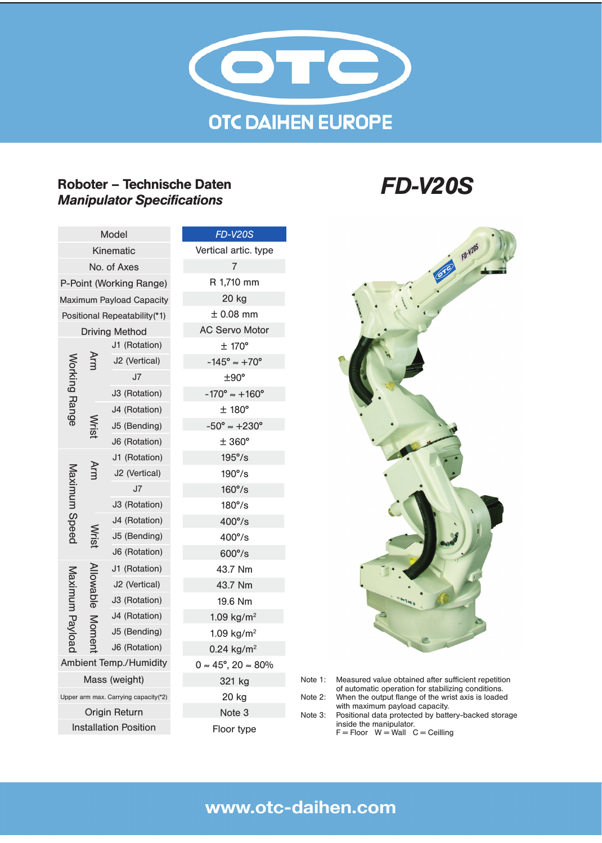

## Roboter – Technische Daten *Manipulator Specifications FD-V20S*

| Model                                |                    |               | <b>FD-V20S</b>                          |
|--------------------------------------|--------------------|---------------|-----------------------------------------|
| Kinematic                            |                    |               | Vertical artic. type                    |
| No. of Axes                          |                    |               | 7                                       |
| P-Point (Working Range)              |                    |               | R 1,710 mm                              |
| <b>Maximum Payload Capacity</b>      |                    |               | 20 kg                                   |
| Positional Repeatability(*1)         |                    |               | $± 0.08$ mm                             |
| <b>Driving Method</b>                |                    |               | <b>AC Servo Motor</b>                   |
| Vorking Range                        |                    | J1 (Rotation) | $± 170^{\circ}$                         |
|                                      |                    | J2 (Vertical) | $-145^{\circ} \approx +70^{\circ}$      |
|                                      |                    | J7            | ±90°                                    |
|                                      |                    | J3 (Rotation) | $-170^{\circ} \approx +160^{\circ}$     |
|                                      |                    | J4 (Rotation) | $±$ 180 $^{\circ}$                      |
|                                      |                    | J5 (Bending)  | $-50^{\circ} \approx +230^{\circ}$      |
|                                      |                    | J6 (Rotation) | $± 360^{\circ}$                         |
| Maximum Speed                        | Arm                | J1 (Rotation) | $195^{\circ}/s$                         |
|                                      |                    | J2 (Vertical) | $190^{\circ}/s$                         |
|                                      |                    | J7            | $160^{\circ}/s$                         |
|                                      |                    | J3 (Rotation) | $180^{\circ}/s$                         |
|                                      |                    | J4 (Rotation) | $400^{\circ}/s$                         |
|                                      |                    | J5 (Bending)  | $400^{\circ}/s$                         |
|                                      |                    | J6 (Rotation) | 600°/s                                  |
| Maximum Payload                      | lowable  <br>Momel | J1 (Rotation) | 43.7 Nm                                 |
|                                      |                    | J2 (Vertical) | 43.7 Nm                                 |
|                                      |                    | J3 (Rotation) | 19.6 Nm                                 |
|                                      |                    | J4 (Rotation) | $1.09$ kg/m <sup>22</sup>               |
|                                      |                    | J5 (Bending)  | 1.09 kg/m <sup>22</sup>                 |
|                                      |                    | J6 (Rotation) | $0.24$ kg/m <sup>22</sup>               |
| <b>Ambient Temp./Humidity</b>        |                    |               | $0 \approx 45^{\circ}, 20 \approx 80\%$ |
| Mass (weight)                        |                    |               | 321 kg                                  |
| Upper arm max. Carrying capacity(*2) |                    |               | 20 kg                                   |
| Origin Return                        |                    |               | Note 3                                  |
| <b>Installation Position</b>         |                    |               | Floor type                              |
|                                      |                    |               |                                         |



Note 1: Measured value obtained after sufficient repetition of automatic operation for stabilizing conditions. Note 2: When the output flange of the wrist axis is loaded with maximum payload capacity. Note 3: Positional data protected by battery-backed storage

> inside the manipulator.  $F =$  Floor  $W =$  Wall  $C =$  Ceilling

# www.otc-daihen.com